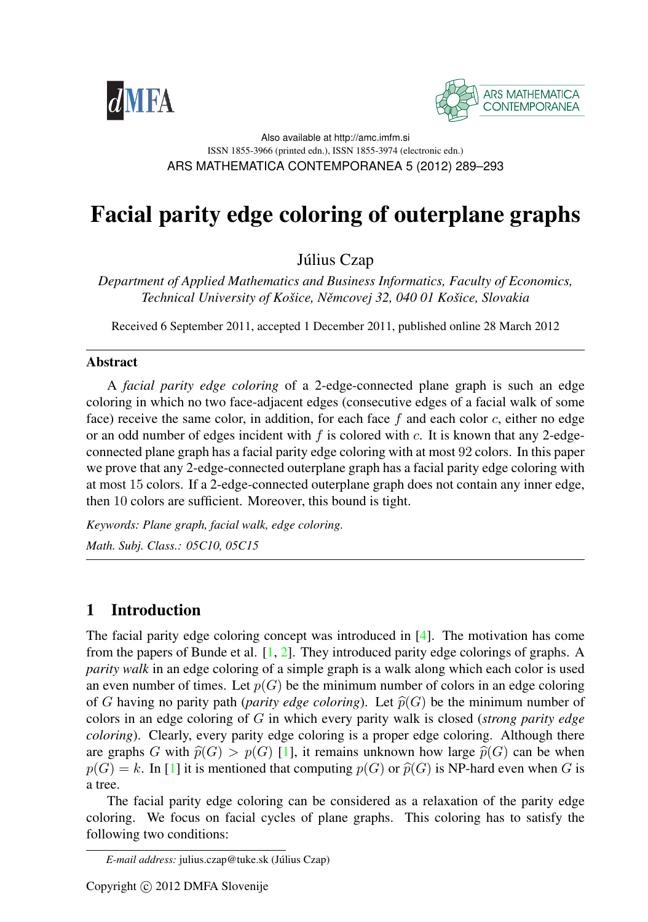



#### Also available at http://amc.imfm.si ISSN 1855-3966 (printed edn.), ISSN 1855-3974 (electronic edn.) ARS MATHEMATICA CONTEMPORANEA 5 (2012) 289–293

# Facial parity edge coloring of outerplane graphs

Július Czap

*Department of Applied Mathematics and Business Informatics, Faculty of Economics, Technical University of Kosˇice, Neˇmcovej 32, 040 01 Kosˇice, Slovakia*

Received 6 September 2011, accepted 1 December 2011, published online 28 March 2012

#### Abstract

A *facial parity edge coloring* of a 2-edge-connected plane graph is such an edge coloring in which no two face-adjacent edges (consecutive edges of a facial walk of some face) receive the same color, in addition, for each face  $f$  and each color  $c$ , either no edge or an odd number of edges incident with f is colored with c. It is known that any 2-edgeconnected plane graph has a facial parity edge coloring with at most 92 colors. In this paper we prove that any 2-edge-connected outerplane graph has a facial parity edge coloring with at most 15 colors. If a 2-edge-connected outerplane graph does not contain any inner edge, then 10 colors are sufficient. Moreover, this bound is tight.

*Keywords: Plane graph, facial walk, edge coloring. Math. Subj. Class.: 05C10, 05C15*

## 1 Introduction

The facial parity edge coloring concept was introduced in [\[4\]](#page-3-0). The motivation has come from the papers of Bunde et al.  $[1, 2]$  $[1, 2]$  $[1, 2]$ . They introduced parity edge colorings of graphs. A *parity walk* in an edge coloring of a simple graph is a walk along which each color is used an even number of times. Let  $p(G)$  be the minimum number of colors in an edge coloring of G having no parity path (*parity edge coloring*). Let  $\widehat{p}(G)$  be the minimum number of colors in an edge coloring of G in which every parity walk is closed (*strong parity edge coloring*). Clearly, every parity edge coloring is a proper edge coloring. Although there are graphs G with  $\hat{p}(G) > p(G)$  [\[1\]](#page-3-1), it remains unknown how large  $\hat{p}(G)$  can be when  $p(G) = k$ . In [\[1\]](#page-3-1) it is mentioned that computing  $p(G)$  or  $\widehat{p}(G)$  is NP-hard even when G is a tree.

The facial parity edge coloring can be considered as a relaxation of the parity edge coloring. We focus on facial cycles of plane graphs. This coloring has to satisfy the following two conditions:

 $E$ -mail address: julius.czap@tuke.sk (Július Czap)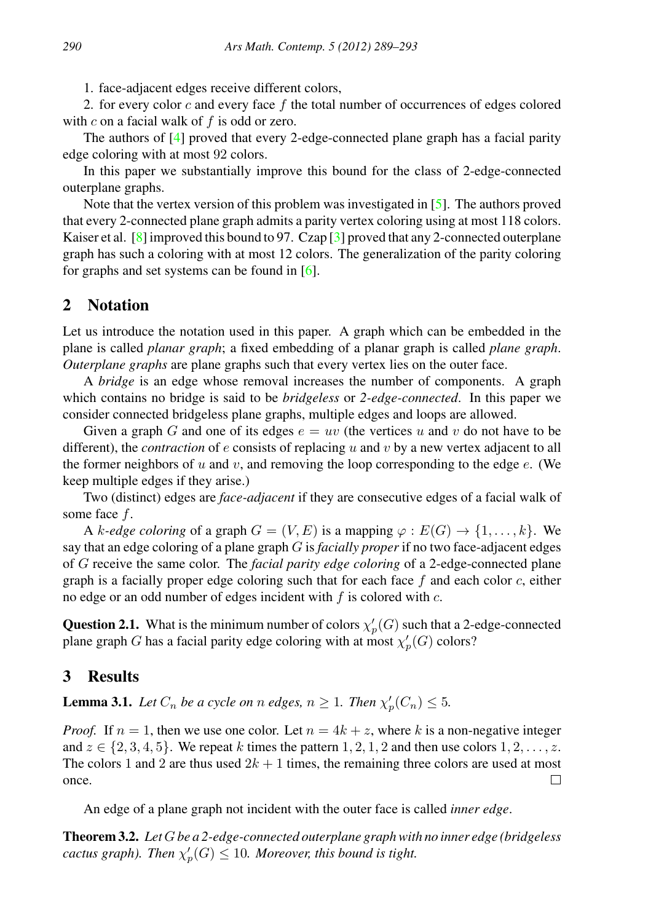1. face-adjacent edges receive different colors,

2. for every color  $c$  and every face  $f$  the total number of occurrences of edges colored with  $c$  on a facial walk of  $f$  is odd or zero.

The authors of [\[4\]](#page-3-0) proved that every 2-edge-connected plane graph has a facial parity edge coloring with at most 92 colors.

In this paper we substantially improve this bound for the class of 2-edge-connected outerplane graphs.

Note that the vertex version of this problem was investigated in [\[5\]](#page-3-3). The authors proved that every 2-connected plane graph admits a parity vertex coloring using at most 118 colors. Kaiser et al.  $\lceil 8 \rceil$  improved this bound to 97. Czap  $\lceil 3 \rceil$  proved that any 2-connected outerplane graph has such a coloring with at most 12 colors. The generalization of the parity coloring for graphs and set systems can be found in [\[6\]](#page-3-5).

## 2 Notation

Let us introduce the notation used in this paper. A graph which can be embedded in the plane is called *planar graph*; a fixed embedding of a planar graph is called *plane graph*. *Outerplane graphs* are plane graphs such that every vertex lies on the outer face.

A *bridge* is an edge whose removal increases the number of components. A graph which contains no bridge is said to be *bridgeless* or *2-edge-connected*. In this paper we consider connected bridgeless plane graphs, multiple edges and loops are allowed.

Given a graph G and one of its edges  $e = uv$  (the vertices u and v do not have to be different), the *contraction* of  $e$  consists of replacing  $u$  and  $v$  by a new vertex adjacent to all the former neighbors of u and v, and removing the loop corresponding to the edge  $e$ . (We keep multiple edges if they arise.)

Two (distinct) edges are *face-adjacent* if they are consecutive edges of a facial walk of some face f.

A k-edge coloring of a graph  $G = (V, E)$  is a mapping  $\varphi : E(G) \to \{1, \ldots, k\}$ . We say that an edge coloring of a plane graph G is *facially proper* if no two face-adjacent edges of G receive the same color. The *facial parity edge coloring* of a 2-edge-connected plane graph is a facially proper edge coloring such that for each face  $f$  and each color  $c$ , either no edge or an odd number of edges incident with  $f$  is colored with  $c$ .

**Question 2.1.** What is the minimum number of colors  $\chi'_p(G)$  such that a 2-edge-connected plane graph G has a facial parity edge coloring with at most  $\chi'_p(G)$  colors?

## 3 Results

<span id="page-1-0"></span>**Lemma 3.1.** *Let*  $C_n$  *be a cycle on n edges,*  $n \geq 1$ *. Then*  $\chi'_p(C_n) \leq 5$ *.* 

*Proof.* If  $n = 1$ , then we use one color. Let  $n = 4k + z$ , where k is a non-negative integer and  $z \in \{2, 3, 4, 5\}$ . We repeat k times the pattern 1, 2, 1, 2 and then use colors 1, 2, ..., z. The colors 1 and 2 are thus used  $2k + 1$  times, the remaining three colors are used at most once. П

An edge of a plane graph not incident with the outer face is called *inner edge*.

<span id="page-1-1"></span>Theorem 3.2. *Let*G*be a 2-edge-connected outerplane graph with no inner edge (bridgeless cactus graph). Then*  $\chi'_p(G) \leq 10$ *. Moreover, this bound is tight.*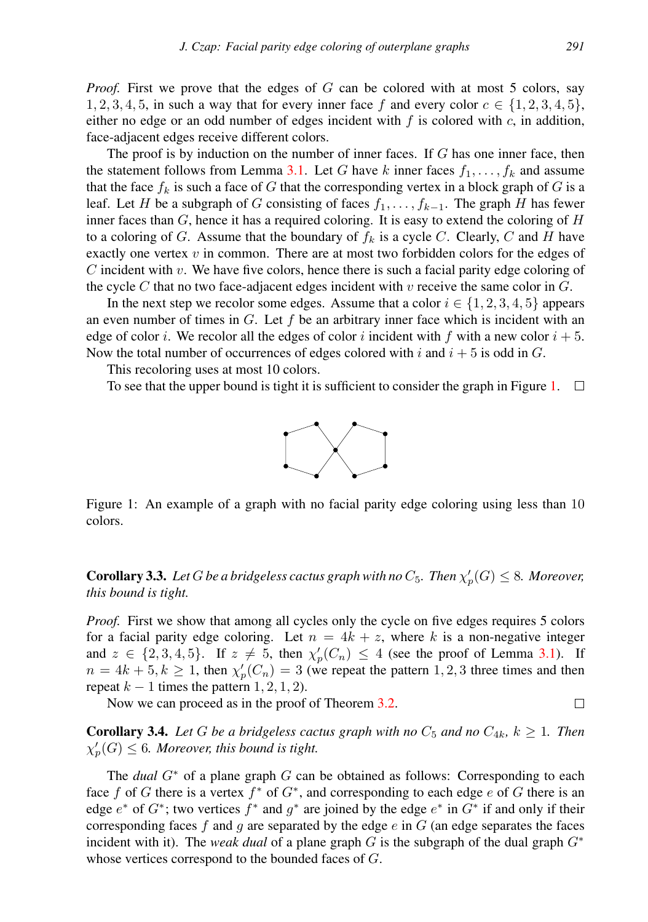*Proof.* First we prove that the edges of G can be colored with at most 5 colors, say 1, 2, 3, 4, 5, in such a way that for every inner face f and every color  $c \in \{1, 2, 3, 4, 5\}$ , either no edge or an odd number of edges incident with  $f$  is colored with  $c$ , in addition, face-adjacent edges receive different colors.

The proof is by induction on the number of inner faces. If G has one inner face, then the statement follows from Lemma [3.1.](#page-1-0) Let G have k inner faces  $f_1, \ldots, f_k$  and assume that the face  $f_k$  is such a face of G that the corresponding vertex in a block graph of G is a leaf. Let H be a subgraph of G consisting of faces  $f_1, \ldots, f_{k-1}$ . The graph H has fewer inner faces than  $G$ , hence it has a required coloring. It is easy to extend the coloring of  $H$ to a coloring of G. Assume that the boundary of  $f_k$  is a cycle C. Clearly, C and H have exactly one vertex  $v$  in common. There are at most two forbidden colors for the edges of C incident with v. We have five colors, hence there is such a facial parity edge coloring of the cycle C that no two face-adjacent edges incident with v receive the same color in  $G$ .

In the next step we recolor some edges. Assume that a color  $i \in \{1, 2, 3, 4, 5\}$  appears an even number of times in  $G$ . Let f be an arbitrary inner face which is incident with an edge of color i. We recolor all the edges of color i incident with f with a new color  $i + 5$ . Now the total number of occurrences of edges colored with i and  $i + 5$  is odd in G.

This recoloring uses at most 10 colors.

To see that the upper bound is tight it is sufficient to consider the graph in Figure [1.](#page-2-0)  $\Box$ 



<span id="page-2-0"></span>Figure 1: An example of a graph with no facial parity edge coloring using less than 10 colors.

**Corollary 3.3.** Let G be a bridgeless cactus graph with no  $C_5$ . Then  $\chi_p'(G) \leq 8$ . Moreover, *this bound is tight.*

*Proof.* First we show that among all cycles only the cycle on five edges requires 5 colors for a facial parity edge coloring. Let  $n = 4k + z$ , where k is a non-negative integer and  $z \in \{2, 3, 4, 5\}$ . If  $z \neq 5$ , then  $\chi'_p(C_n) \leq 4$  (see the proof of Lemma [3.1\)](#page-1-0). If  $n = 4k + 5, k \ge 1$ , then  $\chi_p'(C_n) = 3$  (we repeat the pattern 1, 2, 3 three times and then repeat  $k - 1$  times the pattern  $1, 2, 1, 2$ .

Now we can proceed as in the proof of Theorem [3.2.](#page-1-1)

□

**Corollary 3.4.** Let G be a bridgeless cactus graph with no  $C_5$  and no  $C_{4k}$ ,  $k \geq 1$ . Then  $\chi'_{p}(G) \leq 6$ *. Moreover, this bound is tight.* 

The *dual* G<sup>∗</sup> of a plane graph G can be obtained as follows: Corresponding to each face f of G there is a vertex  $f^*$  of  $G^*$ , and corresponding to each edge e of G there is an edge  $e^*$  of  $G^*$ ; two vertices  $f^*$  and  $g^*$  are joined by the edge  $e^*$  in  $G^*$  if and only if their corresponding faces f and q are separated by the edge e in  $G$  (an edge separates the faces incident with it). The *weak dual* of a plane graph G is the subgraph of the dual graph  $G^*$ whose vertices correspond to the bounded faces of G.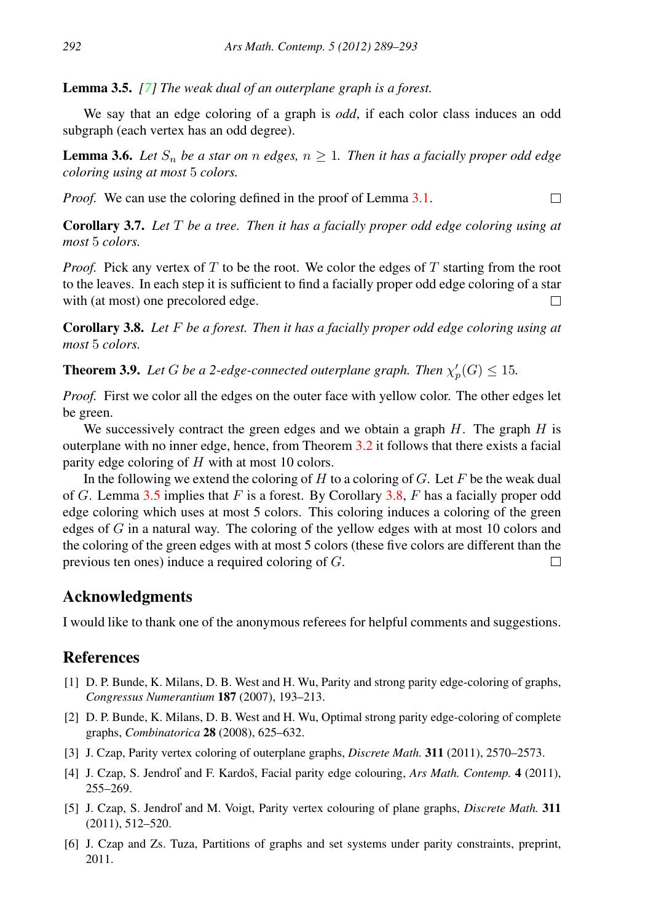<span id="page-3-6"></span>Lemma 3.5. *[\[7\]](#page-4-1) The weak dual of an outerplane graph is a forest.*

We say that an edge coloring of a graph is *odd*, if each color class induces an odd subgraph (each vertex has an odd degree).

**Lemma 3.6.** Let  $S_n$  be a star on n edges,  $n \geq 1$ . Then it has a facially proper odd edge *coloring using at most* 5 *colors.*

 $\Box$ 

*Proof.* We can use the coloring defined in the proof of Lemma [3.1.](#page-1-0)

Corollary 3.7. *Let* T *be a tree. Then it has a facially proper odd edge coloring using at most* 5 *colors.*

*Proof.* Pick any vertex of T to be the root. We color the edges of T starting from the root to the leaves. In each step it is sufficient to find a facially proper odd edge coloring of a star with (at most) one precolored edge.  $\Box$ 

<span id="page-3-7"></span>Corollary 3.8. *Let* F *be a forest. Then it has a facially proper odd edge coloring using at most* 5 *colors.*

**Theorem 3.9.** Let G be a 2-edge-connected outerplane graph. Then  $\chi'_p(G) \leq 15$ .

*Proof.* First we color all the edges on the outer face with yellow color. The other edges let be green.

We successively contract the green edges and we obtain a graph  $H$ . The graph  $H$  is outerplane with no inner edge, hence, from Theorem [3.2](#page-1-1) it follows that there exists a facial parity edge coloring of  $H$  with at most 10 colors.

In the following we extend the coloring of  $H$  to a coloring of  $G$ . Let  $F$  be the weak dual of G. Lemma [3.5](#page-3-6) implies that F is a forest. By Corollary [3.8,](#page-3-7) F has a facially proper odd edge coloring which uses at most 5 colors. This coloring induces a coloring of the green edges of  $G$  in a natural way. The coloring of the yellow edges with at most 10 colors and the coloring of the green edges with at most 5 colors (these five colors are different than the previous ten ones) induce a required coloring of G.  $\Box$ 

### Acknowledgments

I would like to thank one of the anonymous referees for helpful comments and suggestions.

### **References**

- <span id="page-3-1"></span>[1] D. P. Bunde, K. Milans, D. B. West and H. Wu, Parity and strong parity edge-coloring of graphs, *Congressus Numerantium* 187 (2007), 193–213.
- <span id="page-3-2"></span>[2] D. P. Bunde, K. Milans, D. B. West and H. Wu, Optimal strong parity edge-coloring of complete graphs, *Combinatorica* 28 (2008), 625–632.
- <span id="page-3-4"></span>[3] J. Czap, Parity vertex coloring of outerplane graphs, *Discrete Math.* 311 (2011), 2570–2573.
- <span id="page-3-0"></span>[4] J. Czap, S. Jendrol' and F. Kardoš, Facial parity edge colouring, *Ars Math. Contemp.* 4 (2011), 255–269.
- <span id="page-3-3"></span>[5] J. Czap, S. Jendrol' and M. Voigt, Parity vertex colouring of plane graphs, *Discrete Math.* 311 (2011), 512–520.
- <span id="page-3-5"></span>[6] J. Czap and Zs. Tuza, Partitions of graphs and set systems under parity constraints, preprint, 2011.